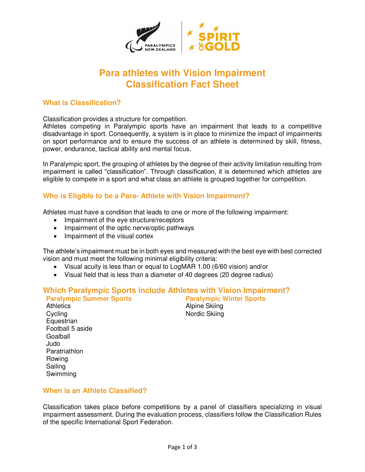

# **Para athletes with Vision Impairment Classification Fact Sheet**

# **What is Classification?**

Classification provides a structure for competition.

Athletes competing in Paralympic sports have an impairment that leads to a competitive disadvantage in sport. Consequently, a system is in place to minimize the impact of impairments on sport performance and to ensure the success of an athlete is determined by skill, fitness, power, endurance, tactical ability and mental focus.

In Paralympic sport, the grouping of athletes by the degree of their activity limitation resulting from impairment is called "classification". Through classification, it is determined which athletes are eligible to compete in a sport and what class an athlete is grouped together for competition.

# **Who is Eligible to be a Para- Athlete with Vision Impairment?**

Athletes must have a condition that leads to one or more of the following impairment:

- Impairment of the eye structure/receptors
- Impairment of the optic nerve/optic pathways
- Impairment of the visual cortex

The athlete's impairment must be in both eyes and measured with the best eye with best corrected vision and must meet the following minimal eligibility criteria:

- Visual acuity is less than or equal to LogMAR 1.00 (6/60 vision) and/or
- Visual field that is less than a diameter of 40 degrees (20 degree radius)

# **Which Paralympic Sports include Athletes with Vision Impairment?**

**Paralympic Summer Sports** Athletics Alpine Skiing Cycling Nordic Skiing **Equestrian** Football 5 aside Goalball Judo **Paratriathlon** Rowing Sailing Swimming

# **When is an Athlete Classified?**

Classification takes place before competitions by a panel of classifiers specializing in visual impairment assessment. During the evaluation process, classifiers follow the Classification Rules of the specific International Sport Federation.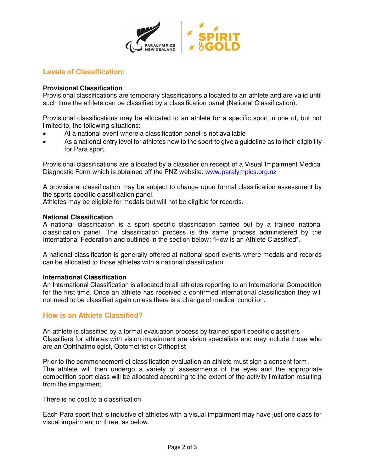

# **Levels of Classification:**

#### **Provisional Classification**

Provisional classifications are temporary classifications allocated to an athlete and are valid until such time the athlete can be classified by a classification panel (National Classification).

Provisional classifications may be allocated to an athlete for a specific sport in one of, but not limited to, the following situations:

- At a national event where a classification panel is not available
- As a national entry level for athletes new to the sport to give a guideline as to their eligibility for Para sport.

Provisional classifications are allocated by a classifier on receipt of a Visual Impairment Medical Diagnostic Form which is obtained off the PNZ website: www.paralympics.org.nz

A provisional classification may be subject to change upon formal classification assessment by the sports specific classification panel.

Athletes may be eligible for medals but will not be eligible for records.

#### **National Classification**

A national classification is a sport specific classification carried out by a trained national classification panel. The classification process is the same process administered by the International Federation and outlined in the section below: "How is an Athlete Classified".

A national classification is generally offered at national sport events where medals and records can be allocated to those athletes with a national classification.

#### **International Classification**

An International Classification is allocated to all athletes reporting to an International Competition for the first time. Once an athlete has received a confirmed international classification they will not need to be classified again unless there is a change of medical condition.

#### **How is an Athlete Classified?**

An athlete is classified by a formal evaluation process by trained sport specific classifiers Classifiers for athletes with vision impairment are vision specialists and may include those who are an Ophthalmologist, Optometrist or Orthoptist

Prior to the commencement of classification evaluation an athlete must sign a consent form. The athlete will then undergo a variety of assessments of the eyes and the appropriate competition sport class will be allocated according to the extent of the activity limitation resulting from the impairment.

There is no cost to a classification

Each Para sport that is inclusive of athletes with a visual impairment may have just one class for visual impairment or three, as below.